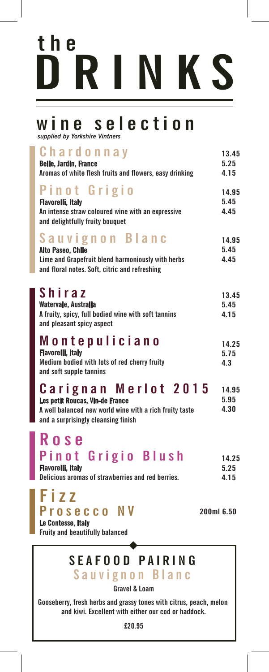## **DRINKS the**

### **wine selection**

*supplied by Yorkshire Vintners*

| Chardonnay<br><b>Belle, Jardin, France</b><br>Aromas of white flesh fruits and flowers, easy drinking                                                     |            | 13.45<br>5.25<br>4.15 |
|-----------------------------------------------------------------------------------------------------------------------------------------------------------|------------|-----------------------|
| Pinot Grigio<br><b>Flavorelli, Italy</b><br>An intense straw coloured wine with an expressive<br>and delightfully fruity bouquet                          |            | 14.95<br>5.45<br>4.45 |
| Sauvignon Blanc<br><b>Alto Paseo, Chile</b><br>Lime and Grapefruit blend harmoniously with herbs<br>and floral notes. Soft, citric and refreshing         |            | 14.95<br>5.45<br>4.45 |
| Shiraz<br>Watervale, Australia<br>A fruity, spicy, full bodied wine with soft tannins<br>and pleasant spicy aspect                                        |            | 13.45<br>5.45<br>4.15 |
| Montepuliciano<br><b>Flavorelli, Italy</b><br>Medium bodied with lots of red cherry fruity<br>and soft supple tannins                                     |            | 14.25<br>5.75<br>4.3  |
| Carignan Merlot 2015<br>Les petit Roucas, Vin-de France<br>A well balanced new world wine with a rich fruity taste<br>and a surprisingly cleansing finish |            | 14.95<br>5.95<br>4.30 |
| Rose<br>Pinot Grigio Blush<br><b>Flavorelli, Italy</b><br>Delicious aromas of strawberries and red berries.                                               |            | 14.25<br>5.25<br>4.15 |
| Fizz<br>Prosecco NV<br>Le Contesse, Italy<br><b>Fruity and beautifully balanced</b>                                                                       | 200ml 6.50 |                       |
| <b>SEAFOOD PAIRING</b><br>Sauvignon Blanc                                                                                                                 |            |                       |

**Gravel & Loam**

**Gooseberry, fresh herbs and grassy tones with citrus, peach, melon and kiwi. Excellent with either our cod or haddock.**